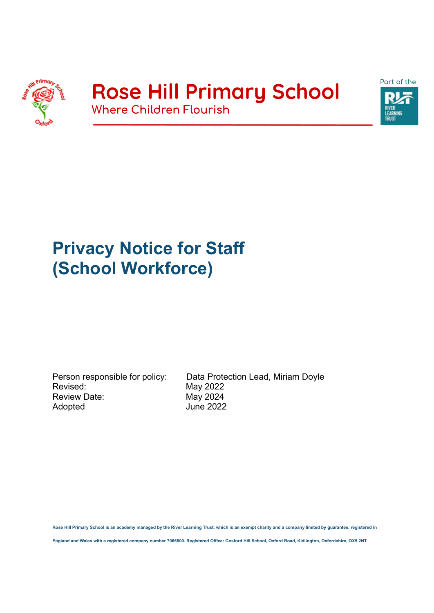

## **Rose Hill Primary School Where Children Flourish**



# **Privacy Notice for Staff (School Workforce)**

Revised: May 2022 Review Date: May 2024 Adopted June 2022

Person responsible for policy: Data Protection Lead, Miriam Doyle

**Rose Hill Primary School is an academy managed by the River Learning Trust, which is an exempt charity and a company limited by guarantee, registered in**

**England and Wales with a registered company number 7966500. Registered Office: Gosford Hill School, Oxford Road, Kidlington, Oxfordshire, OX5 2NT.**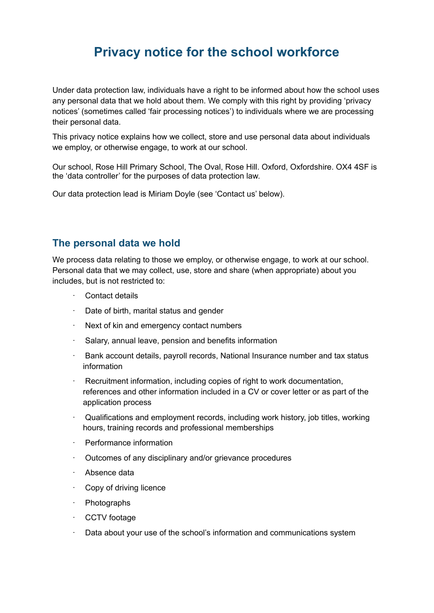### **Privacy notice for the school workforce**

Under data protection law, individuals have a right to be informed about how the school uses any personal data that we hold about them. We comply with this right by providing 'privacy notices' (sometimes called 'fair processing notices') to individuals where we are processing their personal data.

This privacy notice explains how we collect, store and use personal data about individuals we employ, or otherwise engage, to work at our school.

Our school, Rose Hill Primary School, The Oval, Rose Hill. Oxford, Oxfordshire. OX4 4SF is the 'data controller' for the purposes of data protection law.

Our data protection lead is Miriam Doyle (see 'Contact us' below).

#### **The personal data we hold**

We process data relating to those we employ, or otherwise engage, to work at our school. Personal data that we may collect, use, store and share (when appropriate) about you includes, but is not restricted to:

- Contact details
- Date of birth, marital status and gender
- Next of kin and emergency contact numbers
- Salary, annual leave, pension and benefits information
- · Bank account details, payroll records, National Insurance number and tax status information
- · Recruitment information, including copies of right to work documentation, references and other information included in a CV or cover letter or as part of the application process
- · Qualifications and employment records, including work history, job titles, working hours, training records and professional memberships
- · Performance information
- · Outcomes of any disciplinary and/or grievance procedures
- · Absence data
- Copy of driving licence
- **Photographs**
- CCTV footage
- Data about your use of the school's information and communications system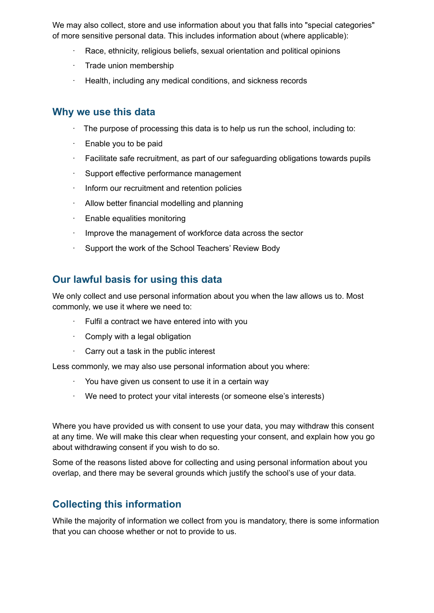We may also collect, store and use information about you that falls into "special categories" of more sensitive personal data. This includes information about (where applicable):

- Race, ethnicity, religious beliefs, sexual orientation and political opinions
- Trade union membership
- · Health, including any medical conditions, and sickness records

#### **Why we use this data**

- The purpose of processing this data is to help us run the school, including to:
- Enable you to be paid
- Facilitate safe recruitment, as part of our safeguarding obligations towards pupils
- Support effective performance management
- · Inform our recruitment and retention policies
- Allow better financial modelling and planning
- Enable equalities monitoring
- Improve the management of workforce data across the sector
- Support the work of the School Teachers' Review Body

#### **Our lawful basis for using this data**

We only collect and use personal information about you when the law allows us to. Most commonly, we use it where we need to:

- · Fulfil a contract we have entered into with you
- · Comply with a legal obligation
- Carry out a task in the public interest

Less commonly, we may also use personal information about you where:

- You have given us consent to use it in a certain way
- We need to protect your vital interests (or someone else's interests)

Where you have provided us with consent to use your data, you may withdraw this consent at any time. We will make this clear when requesting your consent, and explain how you go about withdrawing consent if you wish to do so.

Some of the reasons listed above for collecting and using personal information about you overlap, and there may be several grounds which justify the school's use of your data.

#### **Collecting this information**

While the majority of information we collect from you is mandatory, there is some information that you can choose whether or not to provide to us.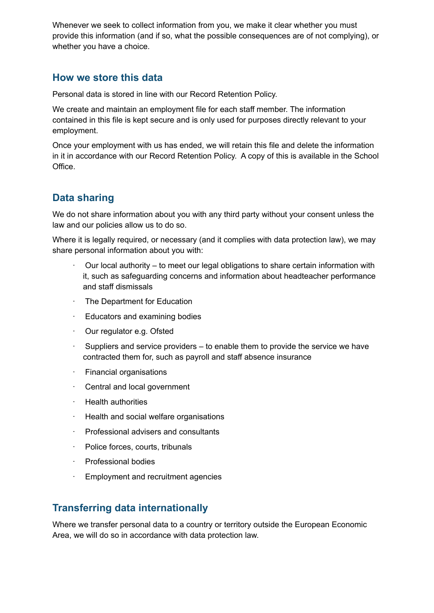Whenever we seek to collect information from you, we make it clear whether you must provide this information (and if so, what the possible consequences are of not complying), or whether you have a choice.

#### **How we store this data**

Personal data is stored in line with our Record Retention Policy.

We create and maintain an employment file for each staff member. The information contained in this file is kept secure and is only used for purposes directly relevant to your employment.

Once your employment with us has ended, we will retain this file and delete the information in it in accordance with our Record Retention Policy. A copy of this is available in the School Office.

#### **Data sharing**

We do not share information about you with any third party without your consent unless the law and our policies allow us to do so.

Where it is legally required, or necessary (and it complies with data protection law), we may share personal information about you with:

- · Our local authority to meet our legal obligations to share certain information with it, such as safeguarding concerns and information about headteacher performance and staff dismissals
- The Department for Education
- Educators and examining bodies
- Our regulator e.g. Ofsted
- Suppliers and service providers  $-$  to enable them to provide the service we have contracted them for, such as payroll and staff absence insurance
- **Financial organisations**
- Central and local government
- **Health authorities**
- · Health and social welfare organisations
- · Professional advisers and consultants
- Police forces, courts, tribunals
- · Professional bodies
- Employment and recruitment agencies

#### **Transferring data internationally**

Where we transfer personal data to a country or territory outside the European Economic Area, we will do so in accordance with data protection law.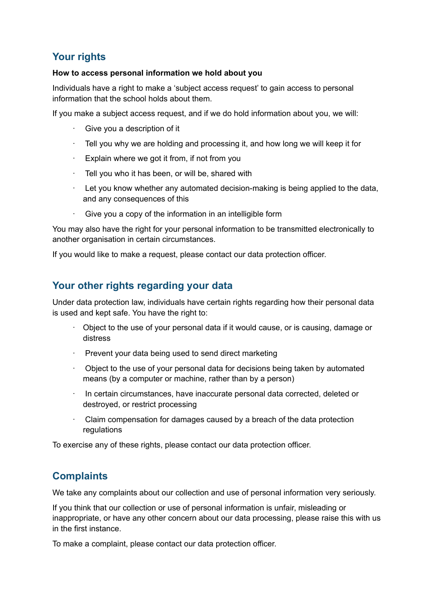#### **Your rights**

#### **How to access personal information we hold about you**

Individuals have a right to make a 'subject access request' to gain access to personal information that the school holds about them.

If you make a subject access request, and if we do hold information about you, we will:

- Give you a description of it
- Tell you why we are holding and processing it, and how long we will keep it for
- · Explain where we got it from, if not from you
- Tell you who it has been, or will be, shared with
- $\cdot$  Let you know whether any automated decision-making is being applied to the data, and any consequences of this
- Give you a copy of the information in an intelligible form

You may also have the right for your personal information to be transmitted electronically to another organisation in certain circumstances.

If you would like to make a request, please contact our data protection officer.

#### **Your other rights regarding your data**

Under data protection law, individuals have certain rights regarding how their personal data is used and kept safe. You have the right to:

- · Object to the use of your personal data if it would cause, or is causing, damage or distress
- · Prevent your data being used to send direct marketing
- · Object to the use of your personal data for decisions being taken by automated means (by a computer or machine, rather than by a person)
- · In certain circumstances, have inaccurate personal data corrected, deleted or destroyed, or restrict processing
- · Claim compensation for damages caused by a breach of the data protection regulations

To exercise any of these rights, please contact our data protection officer.

#### **Complaints**

We take any complaints about our collection and use of personal information very seriously.

If you think that our collection or use of personal information is unfair, misleading or inappropriate, or have any other concern about our data processing, please raise this with us in the first instance.

To make a complaint, please contact our data protection officer.